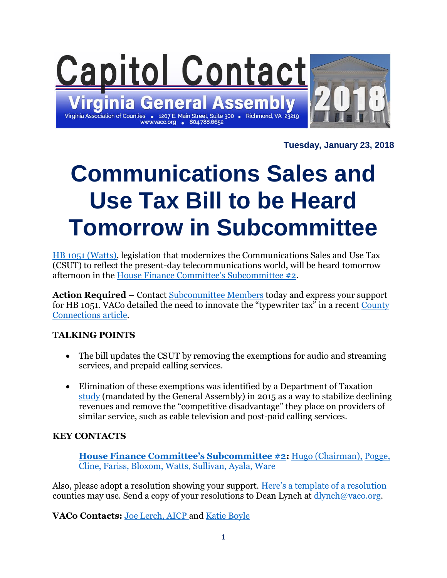

**Tuesday, January 23, 2018**

# **Communications Sales and Use Tax Bill to be Heard Tomorrow in Subcommittee**

[HB 1051 \(Watts\),](http://leg1.state.va.us/cgi-bin/legp504.exe?181+sum+HB1051) legislation that modernizes the Communications Sales and Use Tax (CSUT) to reflect the present-day telecommunications world, will be heard tomorrow afternoon in the [House Finance Committee's Subcommittee #2](http://lis.virginia.gov/cgi-bin/legp604.exe?181+sub+H10002).

**Action Required –** Contact [Subcommittee Members](http://lis.virginia.gov/cgi-bin/legp604.exe?181+sub+H10002) today and express your support for HB 1051. VACo detailed the need to innovate the "typewriter tax" in a recent [County](http://www.vaco.org/time-modernize-communications-sales-use-tax/)  [Connections article.](http://www.vaco.org/time-modernize-communications-sales-use-tax/)

#### **TALKING POINTS**

- The bill updates the CSUT by removing the exemptions for audio and streaming services, and prepaid calling services.
- Elimination of these exemptions was identified by a Department of Taxation [study](https://www.tax.virginia.gov/sites/default/files/inline-files/2015-communications-sales-and-use-tax-study.pdf) (mandated by the General Assembly) in 2015 as a way to stabilize declining revenues and remove the "competitive disadvantage" they place on providers of similar service, such as cable television and post-paid calling services.

#### **KEY CONTACTS**

**[House Finance Committee's Subcommittee #2](http://lis.virginia.gov/cgi-bin/legp604.exe?181+sub+H10002):** [Hugo \(Chairman\),](http://lis.virginia.gov/cgi-bin/legp604.exe?181+mbr+H162) [Pogge,](http://lis.virginia.gov/cgi-bin/legp604.exe?181+mbr+H203) [Cline,](http://lis.virginia.gov/cgi-bin/legp604.exe?181+mbr+H161) [Fariss,](http://lis.virginia.gov/cgi-bin/legp604.exe?181+mbr+H235) [Bloxom,](http://lis.virginia.gov/cgi-bin/legp604.exe?181+mbr+H267) [Watts,](http://lis.virginia.gov/cgi-bin/legp604.exe?181+mbr+H108) [Sullivan,](http://lis.virginia.gov/cgi-bin/legp604.exe?181+mbr+H269) [Ayala,](http://lis.virginia.gov/cgi-bin/legp604.exe?181+mbr+H290) [Ware](http://lis.virginia.gov/cgi-bin/legp604.exe?181+mbr+H124)

Also, please adopt a resolution showing your support. [Here's a template of a resolution](http://www.vaco.org/wp-content/uploads/2018/01/CSUTResolution.docx) counties may use. Send a copy of your resolutions to Dean Lynch at  $\frac{dlynch@vaco.org}{dlynch@vaco.org}$ .

**VACo Contacts:** [Joe Lerch, AICP](mailto:jlerch@vaco.org) and [Katie Boyle](mailto:kboyle@vaco.org)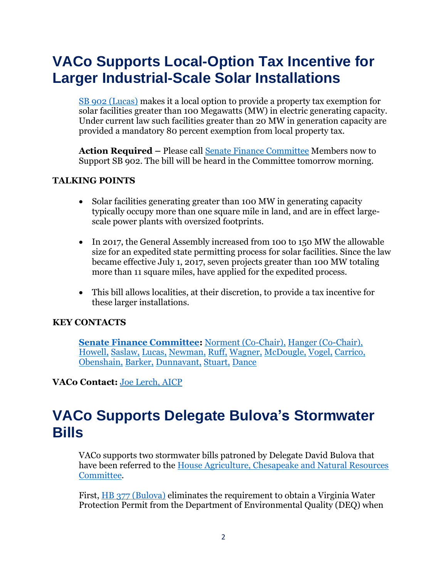# **VACo Supports Local-Option Tax Incentive for Larger Industrial-Scale Solar Installations**

[SB 902 \(Lucas\)](http://lis.virginia.gov/cgi-bin/legp604.exe?ses=181&typ=bil&val=sb902) makes it a local option to provide a property tax exemption for solar facilities greater than 100 Megawatts (MW) in electric generating capacity. Under current law such facilities greater than 20 MW in generation capacity are provided a mandatory 80 percent exemption from local property tax.

**Action Required –** Please call [Senate Finance Committee](http://lis.virginia.gov/cgi-bin/legp604.exe?181+com+S5) Members now to Support SB 902. The bill will be heard in the Committee tomorrow morning.

#### **TALKING POINTS**

- Solar facilities generating greater than 100 MW in generating capacity typically occupy more than one square mile in land, and are in effect largescale power plants with oversized footprints.
- In 2017, the General Assembly increased from 100 to 150 MW the allowable size for an expedited state permitting process for solar facilities. Since the law became effective July 1, 2017, seven projects greater than 100 MW totaling more than 11 square miles, have applied for the expedited process.
- This bill allows localities, at their discretion, to provide a tax incentive for these larger installations.

#### **KEY CONTACTS**

**[Senate Finance Committee:](http://lis.virginia.gov/cgi-bin/legp604.exe?181+com+S5)** [Norment \(Co-Chair\),](http://lis.virginia.gov/cgi-bin/legp604.exe?181+mbr+S26) [Hanger \(Co-Chair\),](http://lis.virginia.gov/cgi-bin/legp604.exe?181+mbr+S47) [Howell,](http://lis.virginia.gov/cgi-bin/legp604.exe?181+mbr+S17) [Saslaw,](http://lis.virginia.gov/cgi-bin/legp604.exe?181+mbr+S32) [Lucas,](http://lis.virginia.gov/cgi-bin/legp604.exe?181+mbr+S19) [Newman,](http://lis.virginia.gov/cgi-bin/legp604.exe?181+mbr+S46) [Ruff,](http://lis.virginia.gov/cgi-bin/legp604.exe?181+mbr+S59) [Wagner,](http://lis.virginia.gov/cgi-bin/legp604.exe?181+mbr+S60) [McDougle,](http://lis.virginia.gov/cgi-bin/legp604.exe?181+mbr+S69) [Vogel,](http://lis.virginia.gov/cgi-bin/legp604.exe?181+mbr+S79) [Carrico,](http://lis.virginia.gov/cgi-bin/legp604.exe?181+mbr+S84) [Obenshain,](http://lis.virginia.gov/cgi-bin/legp604.exe?181+mbr+S68) [Barker,](http://lis.virginia.gov/cgi-bin/legp604.exe?181+mbr+S71) [Dunnavant,](http://lis.virginia.gov/cgi-bin/legp604.exe?181+mbr+S97) [Stuart,](http://lis.virginia.gov/cgi-bin/legp604.exe?181+mbr+S78) [Dance](http://lis.virginia.gov/cgi-bin/legp604.exe?181+mbr+S94)

**VACo Contact:** [Joe Lerch, AICP](mailto:jlerch@vaco.org)

### **VACo Supports Delegate Bulova's Stormwater Bills**

VACo supports two stormwater bills patroned by Delegate David Bulova that have been referred to the [House Agriculture, Chesapeake and Natural Resources](http://lis.virginia.gov/cgi-bin/legp604.exe?181+com+H1)  [Committee.](http://lis.virginia.gov/cgi-bin/legp604.exe?181+com+H1)

First, HB 377 [\(Bulova\)](http://lis.virginia.gov/cgi-bin/legp604.exe?ses=181&typ=bil&val=hb377) eliminates the requirement to obtain a Virginia Water Protection Permit from the Department of Environmental Quality (DEQ) when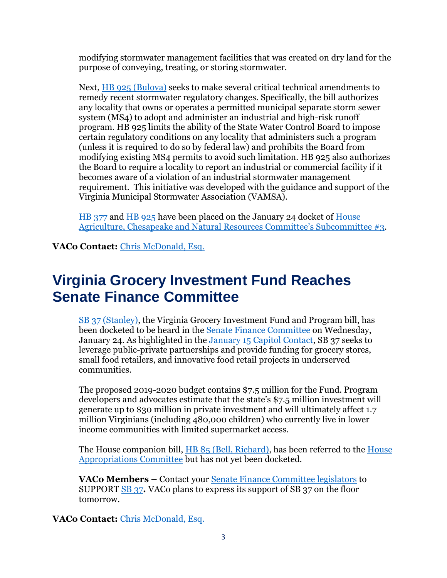modifying stormwater management facilities that was created on dry land for the purpose of conveying, treating, or storing stormwater.

Next, HB 925 [\(Bulova\)](http://lis.virginia.gov/cgi-bin/legp604.exe?ses=181&typ=bil&val=hb925) seeks to make several critical technical amendments to remedy recent stormwater regulatory changes. Specifically, the bill authorizes any locality that owns or operates a permitted municipal separate storm sewer system (MS4) to adopt and administer an industrial and high-risk runoff program. HB 925 limits the ability of the State Water Control Board to impose certain regulatory conditions on any locality that administers such a program (unless it is required to do so by federal law) and prohibits the Board from modifying existing MS4 permits to avoid such limitation. HB 925 also authorizes the Board to require a locality to report an industrial or commercial facility if it becomes aware of a violation of an industrial stormwater management requirement. This initiative was developed with the guidance and support of the Virginia Municipal Stormwater Association (VAMSA).

[HB 377](https://lis.virginia.gov/cgi-bin/legp604.exe?181+sum+HB377) and [HB 925](http://lis.virginia.gov/cgi-bin/legp604.exe?ses=181&typ=bil&val=hb925) have been placed on the January 24 docket of [House](http://lis.virginia.gov/cgi-bin/legp604.exe?181+sub+H01003)  [Agriculture, Chesapeake and Natural Resources](http://lis.virginia.gov/cgi-bin/legp604.exe?181+sub+H01003) Committee's Subcommittee #3.

**VACo Contact:** [Chris McDonald, Esq.](mailto:cmcdonald@vaco.org)

# **Virginia Grocery Investment Fund Reaches Senate Finance Committee**

[SB 37 \(Stanley\),](http://lis.virginia.gov/cgi-bin/legp604.exe?181+sum+SB37) the Virginia Grocery Investment Fund and Program bill, has been docketed to be heard in the [Senate Finance Committee](http://lis.virginia.gov/cgi-bin/legp604.exe?181+com+S5) on Wednesday, January 24. As highlighted in the [January 15 Capitol Contact,](http://www.vaco.org/wp-content/uploads/2018/01/CC11518.pdf) SB 37 seeks to leverage public-private partnerships and provide funding for grocery stores, small food retailers, and innovative food retail projects in underserved communities.

The proposed 2019-2020 budget contains \$7.5 million for the Fund. Program developers and advocates estimate that the state's \$7.5 million investment will generate up to \$30 million in private investment and will ultimately affect 1.7 million Virginians (including 480,000 children) who currently live in lower income communities with limited supermarket access.

The House companion bill, HB 85 [\(Bell, Richard\),](http://lis.virginia.gov/cgi-bin/legp604.exe?ses=181&typ=bil&val=HB85) has been referred to the House [Appropriations Committee](http://lis.virginia.gov/cgi-bin/legp604.exe?181+com+H2) but has not yet been docketed.

**VACo Members –** Contact your [Senate Finance Committee legislators](http://sfc.virginia.gov/committee.shtml) to SUPPORT [SB 37](http://lis.virginia.gov/cgi-bin/legp604.exe?181+sum+SB37)**.** VACo plans to express its support of SB 37 on the floor tomorrow.

**VACo Contact:** [Chris McDonald, Esq.](mailto:cmcdonald@vaco.org)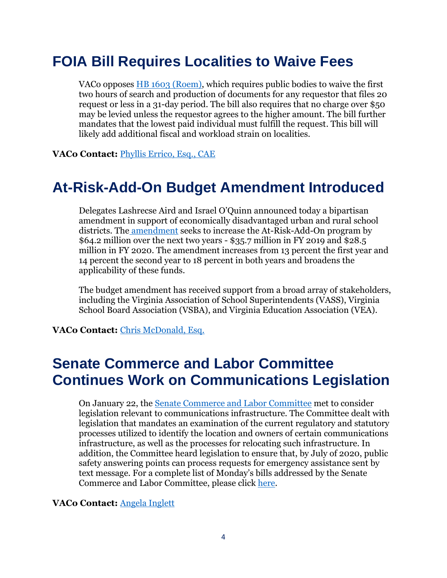# **FOIA Bill Requires Localities to Waive Fees**

VACo opposes [HB 1603 \(Roem\),](http://lis.virginia.gov/cgi-bin/legp604.exe?181+ful+HB1603+pdf) which requires public bodies to waive the first two hours of search and production of documents for any requestor that files 20 request or less in a 31-day period. The bill also requires that no charge over \$50 may be levied unless the requestor agrees to the higher amount. The bill further mandates that the lowest paid individual must fulfill the request. This bill will likely add additional fiscal and workload strain on localities.

**VACo Contact:** [Phyllis Errico, Esq., CAE](mailto:perrico@vaco.org)

### **At-Risk-Add-On Budget Amendment Introduced**

Delegates Lashrecse Aird and Israel O'Quinn announced today a bipartisan amendment in support of economically disadvantaged urban and rural school districts. The [amendment](https://budget.lis.virginia.gov/amendment/2018/1/HB30/Introduced/MR/136/10h/) seeks to increase the At-Risk-Add-On program by \$64.2 million over the next two years - \$35.7 million in FY 2019 and \$28.5 million in FY 2020. The amendment increases from 13 percent the first year and 14 percent the second year to 18 percent in both years and broadens the applicability of these funds.

The budget amendment has received support from a broad array of stakeholders, including the Virginia Association of School Superintendents (VASS), Virginia School Board Association (VSBA), and Virginia Education Association (VEA).

**VACo Contact:** [Chris McDonald, Esq.](mailto:cmcdonald@vaco.org)

### **Senate Commerce and Labor Committee Continues Work on Communications Legislation**

On January 22, the [Senate Commerce and Labor Committee](http://lis.virginia.gov/cgi-bin/legp604.exe?181+com+S2) met to consider legislation relevant to communications infrastructure. The Committee dealt with legislation that mandates an examination of the current regulatory and statutory processes utilized to identify the location and owners of certain communications infrastructure, as well as the processes for relocating such infrastructure. In addition, the Committee heard legislation to ensure that, by July of 2020, public safety answering points can process requests for emergency assistance sent by text message. For a complete list of Monday's bills addressed by the Senate Commerce and Labor Committee, please click [here.](http://lis.virginia.gov/cgi-bin/legp604.exe?181+doc+S0210122)

**VACo Contact:** [Angela Inglett](mailto:ainglett@vaco.org)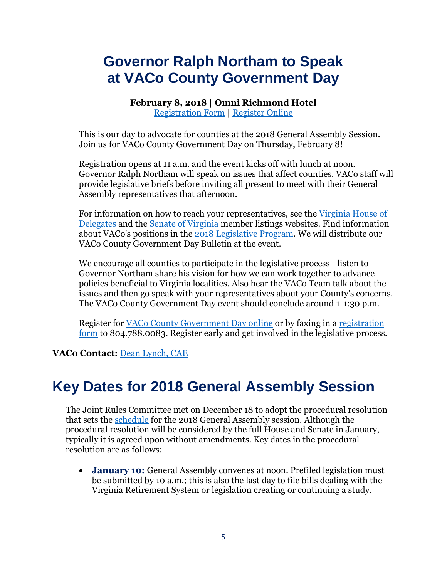# **Governor Ralph Northam to Speak at VACo County Government Day**

**February 8, 2018 | Omni Richmond Hotel** [Registration Form](https://www.vaco.org/wp-content/uploads/2017/09/CountyGovernmentDay18.pdf) | [Register Online](https://netforum.avectra.com/eWeb/DynamicPage.aspx?Site=VACo&WebCode=LoginRequired)

This is our day to advocate for counties at the 2018 General Assembly Session. Join us for VACo County Government Day on Thursday, February 8!

Registration opens at 11 a.m. and the event kicks off with lunch at noon. Governor Ralph Northam will speak on issues that affect counties. VACo staff will provide legislative briefs before inviting all present to meet with their General Assembly representatives that afternoon.

For information on how to reach your representatives, see the [Virginia House of](https://virginiageneralassembly.gov/house/members/members.php)  [Delegates](https://virginiageneralassembly.gov/house/members/members.php) and the [Senate of Virginia](https://apps.senate.virginia.gov/Senator/index.php) member listings websites. Find information about VACo's positions in the [2018 Legislative Program.](https://www.vaco.org/wp-content/uploads/2017/11/2018LegislativeProgramReduced.pdf) We will distribute our VACo County Government Day Bulletin at the event.

We encourage all counties to participate in the legislative process - listen to Governor Northam share his vision for how we can work together to advance policies beneficial to Virginia localities. Also hear the VACo Team talk about the issues and then go speak with your representatives about your County's concerns. The VACo County Government Day event should conclude around 1-1:30 p.m.

Register for [VACo County Government Day online](https://netforum.avectra.com/eWeb/DynamicPage.aspx?Site=VACo&WebCode=LoginRequired) or by faxing in a [registration](https://www.vaco.org/wp-content/uploads/2017/09/CountyGovernmentDay18.pdf)  [form](https://www.vaco.org/wp-content/uploads/2017/09/CountyGovernmentDay18.pdf) to 804.788.0083. Register early and get involved in the legislative process.

**VACo Contact:** [Dean Lynch, CAE](mailto:dlynch@vaco.org)

### **Key Dates for 2018 General Assembly Session**

The Joint Rules Committee met on December 18 to adopt the procedural resolution that sets the [schedule](http://dls.virginia.gov/pubs/calendar/cal2018_2.pdf) for the 2018 General Assembly session. Although the procedural resolution will be considered by the full House and Senate in January, typically it is agreed upon without amendments. Key dates in the procedural resolution are as follows:

• **January 10:** General Assembly convenes at noon. Prefiled legislation must be submitted by 10 a.m.; this is also the last day to file bills dealing with the Virginia Retirement System or legislation creating or continuing a study.